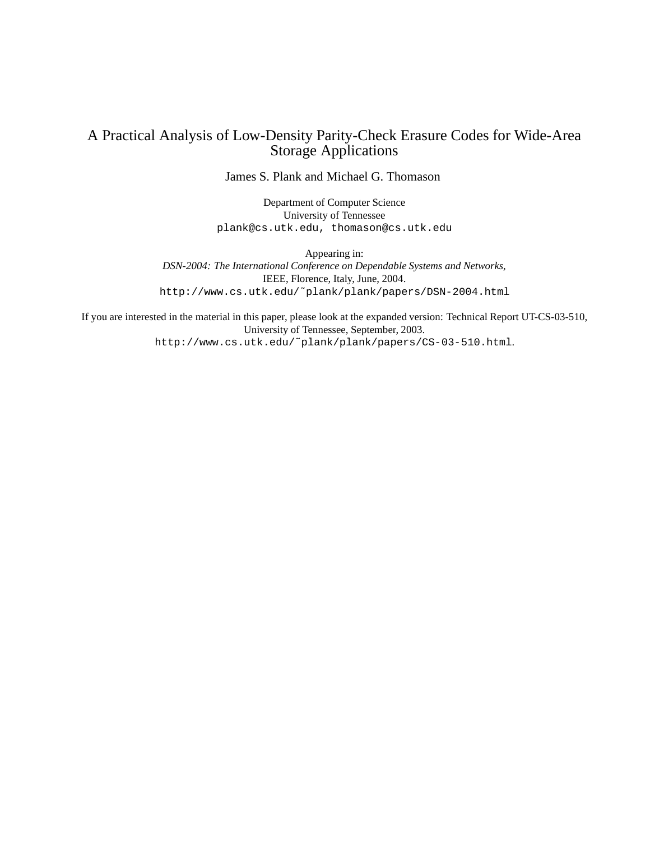## A Practical Analysis of Low-Density Parity-Check Erasure Codes for Wide-Area Storage Applications

James S. Plank and Michael G. Thomason

Department of Computer Science University of Tennessee plank@cs.utk.edu, thomason@cs.utk.edu

Appearing in: *DSN-2004: The International Conference on Dependable Systems and Networks*, IEEE, Florence, Italy, June, 2004. http://www.cs.utk.edu/˜plank/plank/papers/DSN-2004.html

If you are interested in the material in this paper, please look at the expanded version: Technical Report UT-CS-03-510, University of Tennessee, September, 2003. http://www.cs.utk.edu/˜plank/plank/papers/CS-03-510.html.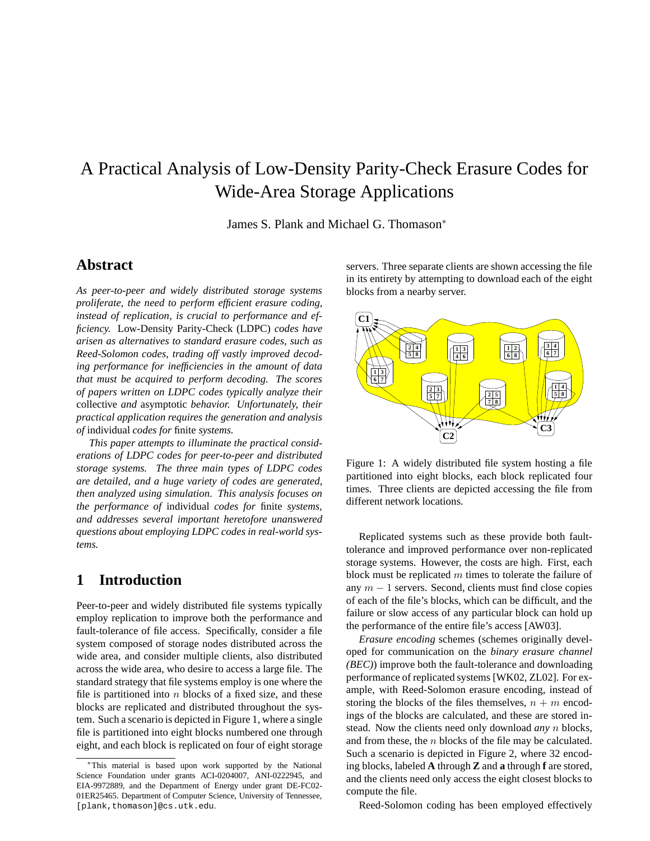# A Practical Analysis of Low-Density Parity-Check Erasure Codes for Wide-Area Storage Applications

James S. Plank and Michael G. Thomason<sup>∗</sup>

### **Abstract**

*As peer-to-peer and widely distributed storage systems proliferate, the need to perform efficient erasure coding, instead of replication, is crucial to performance and efficiency.* Low-Density Parity-Check (LDPC) *codes have arisen as alternatives to standard erasure codes, such as Reed-Solomon codes, trading off vastly improved decoding performance for inefficiencies in the amount of data that must be acquired to perform decoding. The scores of papers written on LDPC codes typically analyze their* collective *and* asymptotic *behavior. Unfortunately, their practical application requires the generation and analysis of* individual *codes for* finite *systems.*

*This paper attempts to illuminate the practical considerations of LDPC codes for peer-to-peer and distributed storage systems. The three main types of LDPC codes are detailed, and a huge variety of codes are generated, then analyzed using simulation. This analysis focuses on the performance of* individual *codes for* finite *systems, and addresses several important heretofore unanswered questions about employing LDPC codes in real-world systems.*

# **1 Introduction**

Peer-to-peer and widely distributed file systems typically employ replication to improve both the performance and fault-tolerance of file access. Specifically, consider a file system composed of storage nodes distributed across the wide area, and consider multiple clients, also distributed across the wide area, who desire to access a large file. The standard strategy that file systems employ is one where the file is partitioned into  $n$  blocks of a fixed size, and these blocks are replicated and distributed throughout the system. Such a scenario is depicted in Figure 1, where a single file is partitioned into eight blocks numbered one through eight, and each block is replicated on four of eight storage servers. Three separate clients are shown accessing the file in its entirety by attempting to download each of the eight blocks from a nearby server.



Figure 1: A widely distributed file system hosting a file partitioned into eight blocks, each block replicated four times. Three clients are depicted accessing the file from different network locations.

Replicated systems such as these provide both faulttolerance and improved performance over non-replicated storage systems. However, the costs are high. First, each block must be replicated  $m$  times to tolerate the failure of any  $m - 1$  servers. Second, clients must find close copies of each of the file's blocks, which can be difficult, and the failure or slow access of any particular block can hold up the performance of the entire file's access [AW03].

*Erasure encoding* schemes (schemes originally developed for communication on the *binary erasure channel (BEC)*) improve both the fault-tolerance and downloading performance of replicated systems [WK02, ZL02]. For example, with Reed-Solomon erasure encoding, instead of storing the blocks of the files themselves,  $n + m$  encodings of the blocks are calculated, and these are stored instead. Now the clients need only download *any* n blocks, and from these, the  $n$  blocks of the file may be calculated. Such a scenario is depicted in Figure 2, where 32 encoding blocks, labeled **A** through **Z** and **a** through **f** are stored, and the clients need only access the eight closest blocks to compute the file.

Reed-Solomon coding has been employed effectively

<sup>∗</sup>This material is based upon work supported by the National Science Foundation under grants ACI-0204007, ANI-0222945, and EIA-9972889, and the Department of Energy under grant DE-FC02- 01ER25465. Department of Computer Science, University of Tennessee, [plank,thomason]@cs.utk.edu.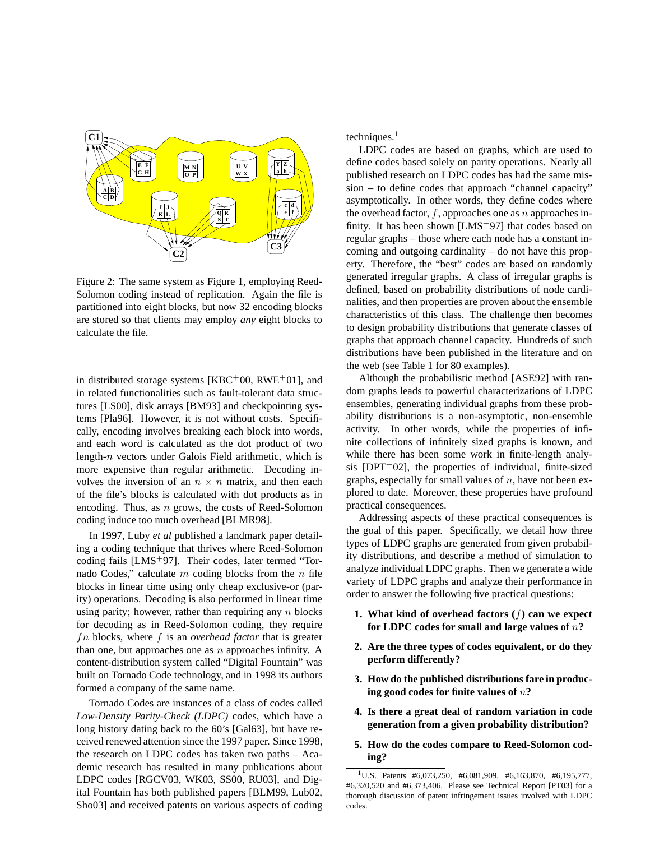

Figure 2: The same system as Figure 1, employing Reed-Solomon coding instead of replication. Again the file is partitioned into eight blocks, but now 32 encoding blocks are stored so that clients may employ *any* eight blocks to calculate the file.

in distributed storage systems [KBC+00, RWE+01], and in related functionalities such as fault-tolerant data structures [LS00], disk arrays [BM93] and checkpointing systems [Pla96]. However, it is not without costs. Specifically, encoding involves breaking each block into words, and each word is calculated as the dot product of two length-n vectors under Galois Field arithmetic, which is more expensive than regular arithmetic. Decoding involves the inversion of an  $n \times n$  matrix, and then each of the file's blocks is calculated with dot products as in encoding. Thus, as  $n$  grows, the costs of Reed-Solomon coding induce too much overhead [BLMR98].

In 1997, Luby *et al* published a landmark paper detailing a coding technique that thrives where Reed-Solomon coding fails [LMS<sup>+</sup>97]. Their codes, later termed "Tornado Codes," calculate  $m$  coding blocks from the  $n$  file blocks in linear time using only cheap exclusive-or (parity) operations. Decoding is also performed in linear time using parity; however, rather than requiring any  $n$  blocks for decoding as in Reed-Solomon coding, they require fn blocks, where f is an *overhead factor* that is greater than one, but approaches one as  $n$  approaches infinity. A content-distribution system called "Digital Fountain" was built on Tornado Code technology, and in 1998 its authors formed a company of the same name.

Tornado Codes are instances of a class of codes called *Low-Density Parity-Check (LDPC)* codes, which have a long history dating back to the 60's [Gal63], but have received renewed attention since the 1997 paper. Since 1998, the research on LDPC codes has taken two paths – Academic research has resulted in many publications about LDPC codes [RGCV03, WK03, SS00, RU03], and Digital Fountain has both published papers [BLM99, Lub02, Sho03] and received patents on various aspects of coding

techniques. $<sup>1</sup>$ </sup>

LDPC codes are based on graphs, which are used to define codes based solely on parity operations. Nearly all published research on LDPC codes has had the same mission – to define codes that approach "channel capacity" asymptotically. In other words, they define codes where the overhead factor,  $f$ , approaches one as n approaches infinity. It has been shown  $[LMS^+97]$  that codes based on regular graphs – those where each node has a constant incoming and outgoing cardinality – do not have this property. Therefore, the "best" codes are based on randomly generated irregular graphs. A class of irregular graphs is defined, based on probability distributions of node cardinalities, and then properties are proven about the ensemble characteristics of this class. The challenge then becomes to design probability distributions that generate classes of graphs that approach channel capacity. Hundreds of such distributions have been published in the literature and on the web (see Table 1 for 80 examples).

Although the probabilistic method [ASE92] with random graphs leads to powerful characterizations of LDPC ensembles, generating individual graphs from these probability distributions is a non-asymptotic, non-ensemble activity. In other words, while the properties of infinite collections of infinitely sized graphs is known, and while there has been some work in finite-length analysis [DPT<sup>+</sup>02], the properties of individual, finite-sized graphs, especially for small values of  $n$ , have not been explored to date. Moreover, these properties have profound practical consequences.

Addressing aspects of these practical consequences is the goal of this paper. Specifically, we detail how three types of LDPC graphs are generated from given probability distributions, and describe a method of simulation to analyze individual LDPC graphs. Then we generate a wide variety of LDPC graphs and analyze their performance in order to answer the following five practical questions:

- **1. What kind of overhead factors (**f**) can we expect for LDPC codes for small and large values of** n**?**
- **2. Are the three types of codes equivalent, or do they perform differently?**
- **3. How do the published distributions fare in producing good codes for finite values of** n**?**
- **4. Is there a great deal of random variation in code generation from a given probability distribution?**
- **5. How do the codes compare to Reed-Solomon coding?**

<sup>&</sup>lt;sup>1</sup>U.S. Patents #6,073,250, #6,081,909, #6,163,870, #6,195,777, #6,320,520 and #6,373,406. Please see Technical Report [PT03] for a thorough discussion of patent infringement issues involved with LDPC codes.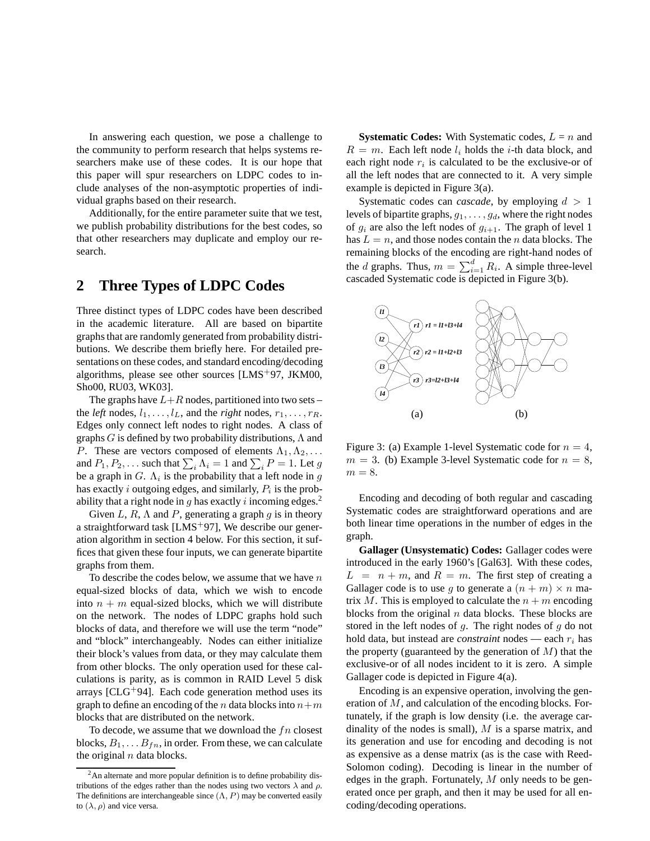In answering each question, we pose a challenge to the community to perform research that helps systems researchers make use of these codes. It is our hope that this paper will spur researchers on LDPC codes to include analyses of the non-asymptotic properties of individual graphs based on their research.

Additionally, for the entire parameter suite that we test, we publish probability distributions for the best codes, so that other researchers may duplicate and employ our research.

### **2 Three Types of LDPC Codes**

Three distinct types of LDPC codes have been described in the academic literature. All are based on bipartite graphs that are randomly generated from probability distributions. We describe them briefly here. For detailed presentations on these codes, and standard encoding/decoding algorithms, please see other sources [LMS+97, JKM00, Sho00, RU03, WK03].

The graphs have  $L+R$  nodes, partitioned into two sets – the *left* nodes,  $l_1, \ldots, l_L$ , and the *right* nodes,  $r_1, \ldots, r_R$ . Edges only connect left nodes to right nodes. A class of graphs  $G$  is defined by two probability distributions,  $\Lambda$  and P. These are vectors composed of elements  $\Lambda_1, \Lambda_2, \ldots$ and  $P_1, P_2, \ldots$  such that  $\sum_i \Lambda_i = 1$  and  $\sum_i P = 1$ . Let g be a graph in  $G$ .  $\Lambda_i$  is the probability that a left node in g has exactly *i* outgoing edges, and similarly,  $P_i$  is the probability that a right node in g has exactly i incoming edges.<sup>2</sup>

Given L, R,  $\Lambda$  and P, generating a graph g is in theory a straightforward task [LMS+97], We describe our generation algorithm in section 4 below. For this section, it suffices that given these four inputs, we can generate bipartite graphs from them.

To describe the codes below, we assume that we have  $n$ equal-sized blocks of data, which we wish to encode into  $n + m$  equal-sized blocks, which we will distribute on the network. The nodes of LDPC graphs hold such blocks of data, and therefore we will use the term "node" and "block" interchangeably. Nodes can either initialize their block's values from data, or they may calculate them from other blocks. The only operation used for these calculations is parity, as is common in RAID Level 5 disk arrays  $[CLG^+94]$ . Each code generation method uses its graph to define an encoding of the n data blocks into  $n+m$ blocks that are distributed on the network.

To decode, we assume that we download the  $fn$  closest blocks,  $B_1, \ldots B_{fn}$ , in order. From these, we can calculate the original  $n$  data blocks.

**Systematic Codes:** With Systematic codes,  $L = n$  and  $R = m$ . Each left node  $l_i$  holds the *i*-th data block, and each right node  $r_i$  is calculated to be the exclusive-or of all the left nodes that are connected to it. A very simple example is depicted in Figure 3(a).

Systematic codes can *cascade*, by employing  $d > 1$ levels of bipartite graphs,  $g_1, \ldots, g_d$ , where the right nodes of  $g_i$  are also the left nodes of  $g_{i+1}$ . The graph of level 1 has  $L = n$ , and those nodes contain the *n* data blocks. The remaining blocks of the encoding are right-hand nodes of the *d* graphs. Thus,  $m = \sum_{i=1}^{d} R_i$ . A simple three-level cascaded Systematic code is depicted in Figure 3(b).



Figure 3: (a) Example 1-level Systematic code for  $n = 4$ ,  $m = 3$ . (b) Example 3-level Systematic code for  $n = 8$ ,  $m = 8$ .

Encoding and decoding of both regular and cascading Systematic codes are straightforward operations and are both linear time operations in the number of edges in the graph.

**Gallager (Unsystematic) Codes:** Gallager codes were introduced in the early 1960's [Gal63]. With these codes,  $L = n + m$ , and  $R = m$ . The first step of creating a Gallager code is to use g to generate a  $(n + m) \times n$  matrix M. This is employed to calculate the  $n + m$  encoding blocks from the original  $n$  data blocks. These blocks are stored in the left nodes of  $q$ . The right nodes of  $q$  do not hold data, but instead are *constraint* nodes — each  $r_i$  has the property (guaranteed by the generation of  $M$ ) that the exclusive-or of all nodes incident to it is zero. A simple Gallager code is depicted in Figure 4(a).

Encoding is an expensive operation, involving the generation of M, and calculation of the encoding blocks. Fortunately, if the graph is low density (i.e. the average cardinality of the nodes is small),  $M$  is a sparse matrix, and its generation and use for encoding and decoding is not as expensive as a dense matrix (as is the case with Reed-Solomon coding). Decoding is linear in the number of edges in the graph. Fortunately,  $M$  only needs to be generated once per graph, and then it may be used for all encoding/decoding operations.

<sup>&</sup>lt;sup>2</sup>An alternate and more popular definition is to define probability distributions of the edges rather than the nodes using two vectors  $\lambda$  and  $\rho$ . The definitions are interchangeable since  $(\Lambda, P)$  may be converted easily to  $(\lambda, \rho)$  and vice versa.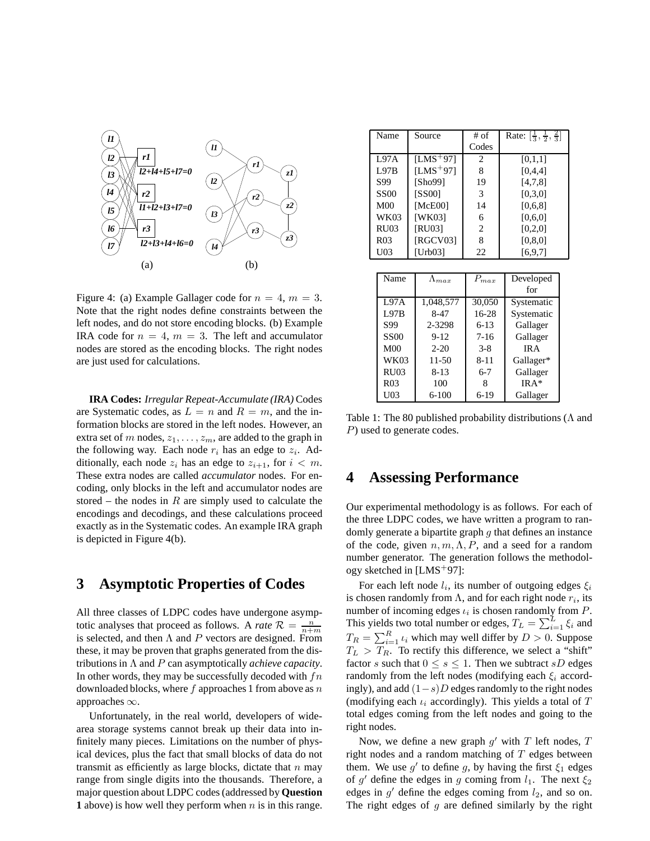

Figure 4: (a) Example Gallager code for  $n = 4$ ,  $m = 3$ . Note that the right nodes define constraints between the left nodes, and do not store encoding blocks. (b) Example IRA code for  $n = 4$ ,  $m = 3$ . The left and accumulator nodes are stored as the encoding blocks. The right nodes are just used for calculations.

**IRA Codes:** *Irregular Repeat-Accumulate (IRA)* Codes are Systematic codes, as  $L = n$  and  $R = m$ , and the information blocks are stored in the left nodes. However, an extra set of m nodes,  $z_1, \ldots, z_m$ , are added to the graph in the following way. Each node  $r_i$  has an edge to  $z_i$ . Additionally, each node  $z_i$  has an edge to  $z_{i+1}$ , for  $i < m$ . These extra nodes are called *accumulator* nodes. For encoding, only blocks in the left and accumulator nodes are stored – the nodes in  $R$  are simply used to calculate the encodings and decodings, and these calculations proceed exactly as in the Systematic codes. An example IRA graph is depicted in Figure 4(b).

### **3 Asymptotic Properties of Codes**

All three classes of LDPC codes have undergone asymptotic analyses that proceed as follows. A *rate*  $\mathcal{R} = \frac{n}{n+m}$ is selected, and then  $\Lambda$  and P vectors are designed. From these, it may be proven that graphs generated from the distributions in Λ and P can asymptotically *achieve capacity*. In other words, they may be successfully decoded with  $fn$ downloaded blocks, where  $f$  approaches 1 from above as  $n$ approaches ∞.

Unfortunately, in the real world, developers of widearea storage systems cannot break up their data into infinitely many pieces. Limitations on the number of physical devices, plus the fact that small blocks of data do not transmit as efficiently as large blocks, dictate that  $n$  may range from single digits into the thousands. Therefore, a major question about LDPC codes (addressed by **Question 1** above) is how well they perform when  $n$  is in this range.

| Name            | Source               | $#$ of         | Rate: $\left[\frac{1}{3}, \frac{1}{2}, \frac{2}{3}\right]$ |
|-----------------|----------------------|----------------|------------------------------------------------------------|
|                 |                      | Codes          |                                                            |
| L97A            | $[LMS+97]$           | 2              | [0,1,1]                                                    |
| L97B            | [LMS <sup>+97]</sup> | 8              | [0,4,4]                                                    |
| S99             | [Sho99]              | 19             | [4,7,8]                                                    |
| <b>SS00</b>     | <b>[SS00]</b>        | 3              | [0.3.0]                                                    |
| M <sub>00</sub> | [McE00]              | 14             | [0,6,8]                                                    |
| WK03            | <b>[WK03]</b>        | 6              | [0,6,0]                                                    |
| <b>RU03</b>     | [RU03]               | $\overline{c}$ | [0,2,0]                                                    |
| R <sub>03</sub> | [RGCV03]             | 8              | [0, 8, 0]                                                  |
| U03             | [Urb03]              | 22             | [6, 9, 7]                                                  |

| Name            | $\Lambda_{max}$ | $P_{max}$ | Developed  |  |
|-----------------|-----------------|-----------|------------|--|
|                 |                 |           | for        |  |
| L97A            | 1,048,577       | 30,050    | Systematic |  |
| <b>L97B</b>     | $8-47$          | 16-28     | Systematic |  |
| S99             | 2-3298          | $6 - 13$  | Gallager   |  |
| <b>SS00</b>     | $9 - 12$        | $7 - 16$  | Gallager   |  |
| M <sub>00</sub> | $2 - 20$        | $3 - 8$   | IR A       |  |
| <b>WK03</b>     | $11 - 50$       | $8 - 11$  | Gallager*  |  |
| <b>RU03</b>     | $8 - 13$        | $6 - 7$   | Gallager   |  |
| R <sub>03</sub> | 100             | 8         | $IRA*$     |  |
| U <sub>03</sub> | $6 - 100$       | 6-19      | Gallager   |  |

Table 1: The 80 published probability distributions ( $\Lambda$  and P) used to generate codes.

### **4 Assessing Performance**

Our experimental methodology is as follows. For each of the three LDPC codes, we have written a program to randomly generate a bipartite graph  $q$  that defines an instance of the code, given  $n, m, \Lambda, P$ , and a seed for a random number generator. The generation follows the methodology sketched in  $[LMS<sup>+</sup>97]$ :

For each left node  $l_i$ , its number of outgoing edges  $\xi_i$ is chosen randomly from  $\Lambda$ , and for each right node  $r_i$ , its number of incoming edges  $\iota_i$  is chosen randomly from  $P$ . This yields two total number or edges,  $T_L = \sum_{i=1}^{L} \xi_i$  and  $T_R = \sum_{i=1}^R \iota_i$  which may well differ by  $D > 0$ . Suppose  $T_L > T_R$ . To rectify this difference, we select a "shift" factor s such that  $0 \leq s \leq 1$ . Then we subtract sD edges randomly from the left nodes (modifying each  $\xi_i$  accordingly), and add  $(1-s)D$  edges randomly to the right nodes (modifying each  $\iota_i$  accordingly). This yields a total of  $T$ total edges coming from the left nodes and going to the right nodes.

Now, we define a new graph  $g'$  with  $T$  left nodes,  $T$ right nodes and a random matching of  $T$  edges between them. We use  $g'$  to define g, by having the first  $\xi_1$  edges of g' define the edges in g coming from  $l_1$ . The next  $\xi_2$ edges in  $g'$  define the edges coming from  $l_2$ , and so on. The right edges of  $g$  are defined similarly by the right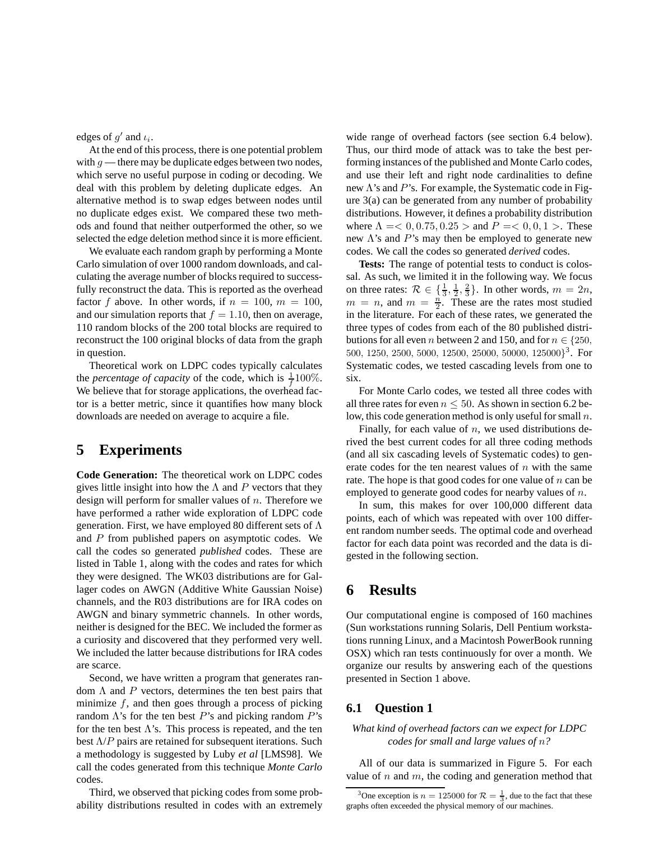edges of  $g'$  and  $\iota_i$ .

At the end of this process, there is one potential problem with  $g$  — there may be duplicate edges between two nodes, which serve no useful purpose in coding or decoding. We deal with this problem by deleting duplicate edges. An alternative method is to swap edges between nodes until no duplicate edges exist. We compared these two methods and found that neither outperformed the other, so we selected the edge deletion method since it is more efficient.

We evaluate each random graph by performing a Monte Carlo simulation of over 1000 random downloads, and calculating the average number of blocks required to successfully reconstruct the data. This is reported as the overhead factor f above. In other words, if  $n = 100$ ,  $m = 100$ , and our simulation reports that  $f = 1.10$ , then on average, 110 random blocks of the 200 total blocks are required to reconstruct the 100 original blocks of data from the graph in question.

Theoretical work on LDPC codes typically calculates the *percentage of capacity* of the code, which is  $\frac{1}{f}100\%$ . We believe that for storage applications, the overhead factor is a better metric, since it quantifies how many block downloads are needed on average to acquire a file.

### **5 Experiments**

**Code Generation:** The theoretical work on LDPC codes gives little insight into how the  $\Lambda$  and P vectors that they design will perform for smaller values of  $n$ . Therefore we have performed a rather wide exploration of LDPC code generation. First, we have employed 80 different sets of  $\Lambda$ and P from published papers on asymptotic codes. We call the codes so generated *published* codes. These are listed in Table 1, along with the codes and rates for which they were designed. The WK03 distributions are for Gallager codes on AWGN (Additive White Gaussian Noise) channels, and the R03 distributions are for IRA codes on AWGN and binary symmetric channels. In other words, neither is designed for the BEC. We included the former as a curiosity and discovered that they performed very well. We included the latter because distributions for IRA codes are scarce.

Second, we have written a program that generates random  $\Lambda$  and  $P$  vectors, determines the ten best pairs that minimize  $f$ , and then goes through a process of picking random  $\Lambda$ 's for the ten best P's and picking random P's for the ten best  $\Lambda$ 's. This process is repeated, and the ten best  $\Lambda$ /P pairs are retained for subsequent iterations. Such a methodology is suggested by Luby *et al* [LMS98]. We call the codes generated from this technique *Monte Carlo* codes.

Third, we observed that picking codes from some probability distributions resulted in codes with an extremely wide range of overhead factors (see section 6.4 below). Thus, our third mode of attack was to take the best performing instances of the published and Monte Carlo codes, and use their left and right node cardinalities to define new  $\Lambda$ 's and  $P$ 's. For example, the Systematic code in Figure 3(a) can be generated from any number of probability distributions. However, it defines a probability distribution where  $\Lambda = 0, 0.75, 0.25 >$  and  $P = 0, 0, 1 >$ . These new  $\Lambda$ 's and  $P$ 's may then be employed to generate new codes. We call the codes so generated *derived* codes.

**Tests:** The range of potential tests to conduct is colossal. As such, we limited it in the following way. We focus on three rates:  $\mathcal{R} \in \{\frac{1}{3}, \frac{1}{2}, \frac{2}{3}\}\$ . In other words,  $m = 2n$ ,  $m = n$ , and  $m = \frac{n}{2}$ . These are the rates most studied in the literature. For each of these rates, we generated the three types of codes from each of the 80 published distributions for all even *n* between 2 and 150, and for  $n \in \{250, \ldots, n\}$ 500, 1250, 2500, 5000, 12500, 25000, 50000, 125000} 3 . For Systematic codes, we tested cascading levels from one to six.

For Monte Carlo codes, we tested all three codes with all three rates for even  $n \leq 50$ . As shown in section 6.2 below, this code generation method is only useful for small  $n$ .

Finally, for each value of  $n$ , we used distributions derived the best current codes for all three coding methods (and all six cascading levels of Systematic codes) to generate codes for the ten nearest values of  $n$  with the same rate. The hope is that good codes for one value of  $n$  can be employed to generate good codes for nearby values of n.

In sum, this makes for over 100,000 different data points, each of which was repeated with over 100 different random number seeds. The optimal code and overhead factor for each data point was recorded and the data is digested in the following section.

### **6 Results**

Our computational engine is composed of 160 machines (Sun workstations running Solaris, Dell Pentium workstations running Linux, and a Macintosh PowerBook running OSX) which ran tests continuously for over a month. We organize our results by answering each of the questions presented in Section 1 above.

#### **6.1 Question 1**

*What kind of overhead factors can we expect for LDPC codes for small and large values of* n*?*

All of our data is summarized in Figure 5. For each value of  $n$  and  $m$ , the coding and generation method that

<sup>&</sup>lt;sup>3</sup>One exception is  $n = 125000$  for  $\mathcal{R} = \frac{1}{3}$ , due to the fact that these graphs often exceeded the physical memory of our machines.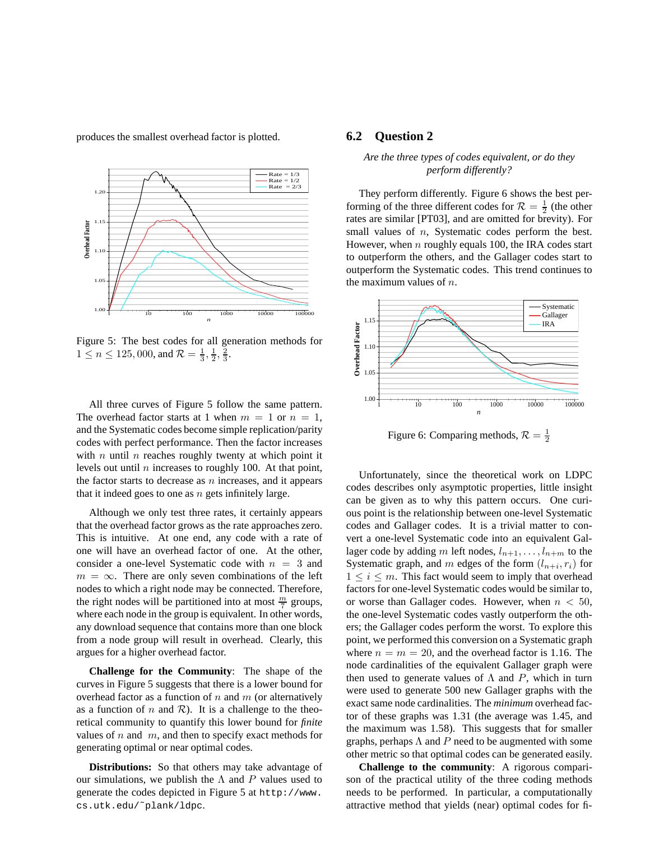produces the smallest overhead factor is plotted.



Figure 5: The best codes for all generation methods for  $1 \le n \le 125,000$ , and  $\mathcal{R} = \frac{1}{3}, \frac{1}{2}, \frac{2}{3}$ .

All three curves of Figure 5 follow the same pattern. The overhead factor starts at 1 when  $m = 1$  or  $n = 1$ , and the Systematic codes become simple replication/parity codes with perfect performance. Then the factor increases with  $n$  until  $n$  reaches roughly twenty at which point it levels out until  $n$  increases to roughly 100. At that point, the factor starts to decrease as  $n$  increases, and it appears that it indeed goes to one as  $n$  gets infinitely large.

Although we only test three rates, it certainly appears that the overhead factor grows as the rate approaches zero. This is intuitive. At one end, any code with a rate of one will have an overhead factor of one. At the other, consider a one-level Systematic code with  $n = 3$  and  $m = \infty$ . There are only seven combinations of the left nodes to which a right node may be connected. Therefore, the right nodes will be partitioned into at most  $\frac{m}{7}$  groups, where each node in the group is equivalent. In other words, any download sequence that contains more than one block from a node group will result in overhead. Clearly, this argues for a higher overhead factor.

**Challenge for the Community**: The shape of the curves in Figure 5 suggests that there is a lower bound for overhead factor as a function of n and  $m$  (or alternatively as a function of n and  $\mathcal{R}$ ). It is a challenge to the theoretical community to quantify this lower bound for *finite* values of  $n$  and  $m$ , and then to specify exact methods for generating optimal or near optimal codes.

**Distributions:** So that others may take advantage of our simulations, we publish the  $\Lambda$  and P values used to generate the codes depicted in Figure 5 at http://www. cs.utk.edu/˜plank/ldpc.

#### **6.2 Question 2**

#### *Are the three types of codes equivalent, or do they perform differently?*

They perform differently. Figure 6 shows the best performing of the three different codes for  $\mathcal{R} = \frac{1}{2}$  (the other rates are similar [PT03], and are omitted for brevity). For small values of *n*, Systematic codes perform the best. However, when  $n$  roughly equals 100, the IRA codes start to outperform the others, and the Gallager codes start to outperform the Systematic codes. This trend continues to the maximum values of  $n$ .



Figure 6: Comparing methods,  $\mathcal{R} = \frac{1}{2}$ 

Unfortunately, since the theoretical work on LDPC codes describes only asymptotic properties, little insight can be given as to why this pattern occurs. One curious point is the relationship between one-level Systematic codes and Gallager codes. It is a trivial matter to convert a one-level Systematic code into an equivalent Gallager code by adding m left nodes,  $l_{n+1}, \ldots, l_{n+m}$  to the Systematic graph, and m edges of the form  $(l_{n+i}, r_i)$  for  $1 \leq i \leq m$ . This fact would seem to imply that overhead factors for one-level Systematic codes would be similar to, or worse than Gallager codes. However, when  $n < 50$ , the one-level Systematic codes vastly outperform the others; the Gallager codes perform the worst. To explore this point, we performed this conversion on a Systematic graph where  $n = m = 20$ , and the overhead factor is 1.16. The node cardinalities of the equivalent Gallager graph were then used to generate values of  $\Lambda$  and P, which in turn were used to generate 500 new Gallager graphs with the exact same node cardinalities. The *minimum* overhead factor of these graphs was 1.31 (the average was 1.45, and the maximum was 1.58). This suggests that for smaller graphs, perhaps  $\Lambda$  and P need to be augmented with some other metric so that optimal codes can be generated easily.

**Challenge to the community**: A rigorous comparison of the practical utility of the three coding methods needs to be performed. In particular, a computationally attractive method that yields (near) optimal codes for fi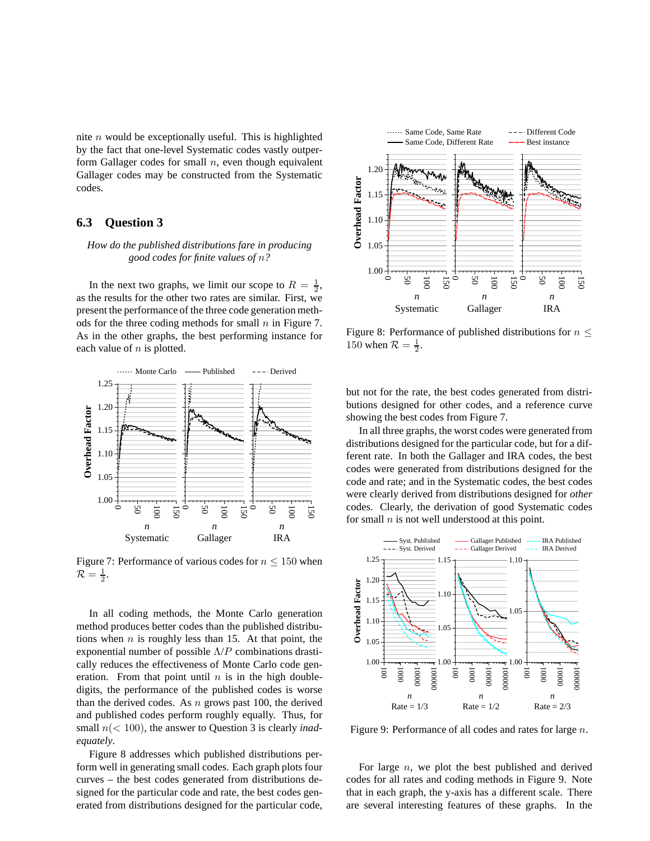nite  $n$  would be exceptionally useful. This is highlighted by the fact that one-level Systematic codes vastly outperform Gallager codes for small  $n$ , even though equivalent Gallager codes may be constructed from the Systematic codes.

#### **6.3 Question 3**

#### *How do the published distributions fare in producing good codes for finite values of* n*?*

In the next two graphs, we limit our scope to  $R = \frac{1}{2}$ , as the results for the other two rates are similar. First, we present the performance of the three code generation methods for the three coding methods for small  $n$  in Figure 7. As in the other graphs, the best performing instance for each value of  $n$  is plotted.



Figure 7: Performance of various codes for  $n \le 150$  when  $\mathcal{R}=\frac{1}{2}.$ 

In all coding methods, the Monte Carlo generation method produces better codes than the published distributions when  $n$  is roughly less than 15. At that point, the exponential number of possible  $\Lambda/P$  combinations drastically reduces the effectiveness of Monte Carlo code generation. From that point until  $n$  is in the high doubledigits, the performance of the published codes is worse than the derived codes. As  $n$  grows past 100, the derived and published codes perform roughly equally. Thus, for small n(< 100), the answer to Question 3 is clearly *inadequately*.

Figure 8 addresses which published distributions perform well in generating small codes. Each graph plots four curves – the best codes generated from distributions designed for the particular code and rate, the best codes generated from distributions designed for the particular code,



Figure 8: Performance of published distributions for  $n \leq$ 150 when  $\mathcal{R} = \frac{1}{2}$ .

but not for the rate, the best codes generated from distributions designed for other codes, and a reference curve showing the best codes from Figure 7.

In all three graphs, the worst codes were generated from distributions designed for the particular code, but for a different rate. In both the Gallager and IRA codes, the best codes were generated from distributions designed for the code and rate; and in the Systematic codes, the best codes were clearly derived from distributions designed for *other* codes. Clearly, the derivation of good Systematic codes for small  $n$  is not well understood at this point.



Figure 9: Performance of all codes and rates for large n.

For large  $n$ , we plot the best published and derived codes for all rates and coding methods in Figure 9. Note that in each graph, the y-axis has a different scale. There are several interesting features of these graphs. In the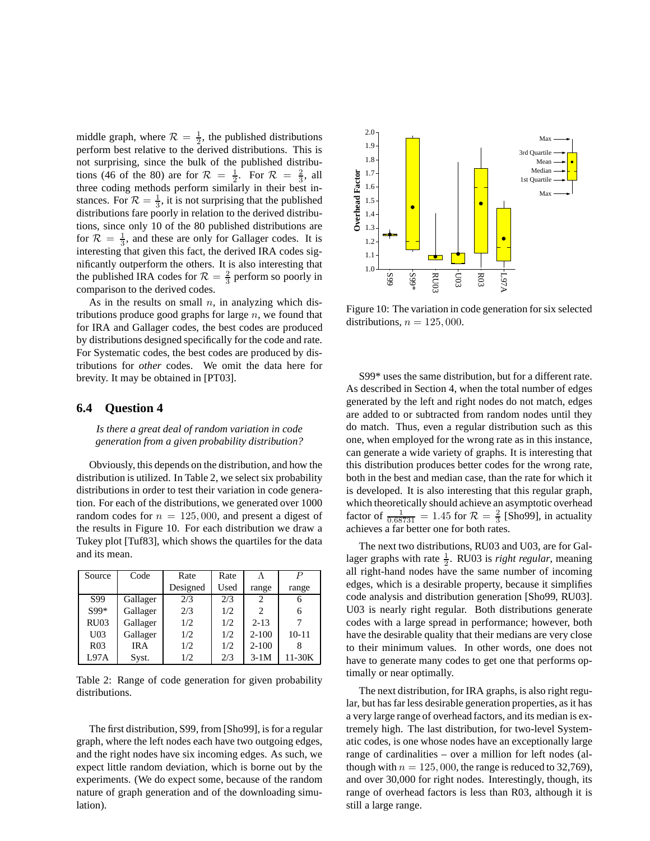middle graph, where  $\mathcal{R} = \frac{1}{2}$ , the published distributions perform best relative to the derived distributions. This is not surprising, since the bulk of the published distributions (46 of the 80) are for  $\mathcal{R} = \frac{1}{2}$ . For  $\mathcal{R} = \frac{2}{3}$ , all three coding methods perform similarly in their best instances. For  $\mathcal{R} = \frac{1}{3}$ , it is not surprising that the published distributions fare poorly in relation to the derived distributions, since only 10 of the 80 published distributions are for  $\mathcal{R} = \frac{1}{3}$ , and these are only for Gallager codes. It is interesting that given this fact, the derived IRA codes significantly outperform the others. It is also interesting that the published IRA codes for  $\mathcal{R} = \frac{2}{3}$  perform so poorly in comparison to the derived codes.

As in the results on small  $n$ , in analyzing which distributions produce good graphs for large  $n$ , we found that for IRA and Gallager codes, the best codes are produced by distributions designed specifically for the code and rate. For Systematic codes, the best codes are produced by distributions for *other* codes. We omit the data here for brevity. It may be obtained in [PT03].

#### **6.4 Question 4**

*Is there a great deal of random variation in code generation from a given probability distribution?*

Obviously, this depends on the distribution, and how the distribution is utilized. In Table 2, we select six probability distributions in order to test their variation in code generation. For each of the distributions, we generated over 1000 random codes for  $n = 125,000$ , and present a digest of the results in Figure 10. For each distribution we draw a Tukey plot [Tuf83], which shows the quartiles for the data and its mean.

| Source          | Code       | Rate     | Rate |           | $\boldsymbol{P}$ |
|-----------------|------------|----------|------|-----------|------------------|
|                 |            | Designed | Used | range     | range            |
| S99             | Gallager   | 2/3      | 2/3  | 2         | 6                |
| S99*            | Gallager   | 2/3      | 1/2  | 2         | 6                |
| <b>RU03</b>     | Gallager   | 1/2      | 1/2  | $2 - 13$  |                  |
| U <sub>03</sub> | Gallager   | 1/2      | 1/2  | $2 - 100$ | $10 - 11$        |
| R <sub>03</sub> | <b>IRA</b> | 1/2      | 1/2  | $2 - 100$ |                  |
| L97A            | Syst.      | 1/2      | 2/3  | $3-1M$    | 11-30K           |

Table 2: Range of code generation for given probability distributions.

The first distribution, S99, from [Sho99], is for a regular graph, where the left nodes each have two outgoing edges, and the right nodes have six incoming edges. As such, we expect little random deviation, which is borne out by the experiments. (We do expect some, because of the random nature of graph generation and of the downloading simulation).



Figure 10: The variation in code generation for six selected distributions,  $n = 125,000$ .

S99\* uses the same distribution, but for a different rate. As described in Section 4, when the total number of edges generated by the left and right nodes do not match, edges are added to or subtracted from random nodes until they do match. Thus, even a regular distribution such as this one, when employed for the wrong rate as in this instance, can generate a wide variety of graphs. It is interesting that this distribution produces better codes for the wrong rate, both in the best and median case, than the rate for which it is developed. It is also interesting that this regular graph, which theoretically should achieve an asymptotic overhead factor of  $\frac{1}{0.68731} = 1.45$  for  $\mathcal{R} = \frac{2}{3}$  [Sho99], in actuality achieves a far better one for both rates.

The next two distributions, RU03 and U03, are for Gallager graphs with rate  $\frac{1}{2}$ . RU03 is *right regular*, meaning all right-hand nodes have the same number of incoming edges, which is a desirable property, because it simplifies code analysis and distribution generation [Sho99, RU03]. U03 is nearly right regular. Both distributions generate codes with a large spread in performance; however, both have the desirable quality that their medians are very close to their minimum values. In other words, one does not have to generate many codes to get one that performs optimally or near optimally.

The next distribution, for IRA graphs, is also right regular, but has far less desirable generation properties, as it has a very large range of overhead factors, and its median is extremely high. The last distribution, for two-level Systematic codes, is one whose nodes have an exceptionally large range of cardinalities – over a million for left nodes (although with  $n = 125,000$ , the range is reduced to 32,769), and over 30,000 for right nodes. Interestingly, though, its range of overhead factors is less than R03, although it is still a large range.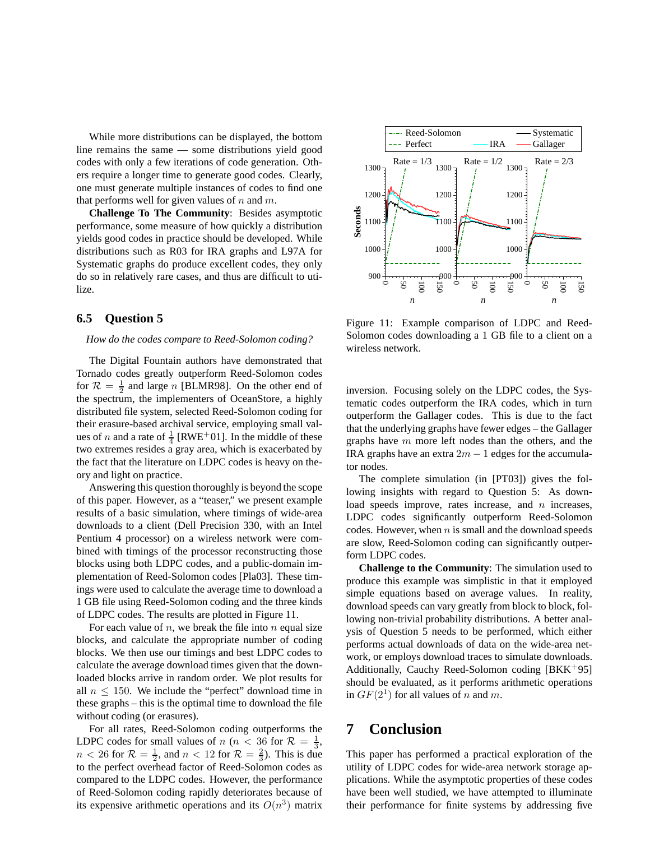While more distributions can be displayed, the bottom line remains the same — some distributions yield good codes with only a few iterations of code generation. Others require a longer time to generate good codes. Clearly, one must generate multiple instances of codes to find one that performs well for given values of  $n$  and  $m$ .

**Challenge To The Community**: Besides asymptotic performance, some measure of how quickly a distribution yields good codes in practice should be developed. While distributions such as R03 for IRA graphs and L97A for Systematic graphs do produce excellent codes, they only do so in relatively rare cases, and thus are difficult to utilize.

#### **6.5 Question 5**

#### *How do the codes compare to Reed-Solomon coding?*

The Digital Fountain authors have demonstrated that Tornado codes greatly outperform Reed-Solomon codes for  $\mathcal{R} = \frac{1}{2}$  and large *n* [BLMR98]. On the other end of the spectrum, the implementers of OceanStore, a highly distributed file system, selected Reed-Solomon coding for their erasure-based archival service, employing small values of *n* and a rate of  $\frac{1}{4}$  [RWE<sup>+</sup>01]. In the middle of these two extremes resides a gray area, which is exacerbated by the fact that the literature on LDPC codes is heavy on theory and light on practice.

Answering this question thoroughly is beyond the scope of this paper. However, as a "teaser," we present example results of a basic simulation, where timings of wide-area downloads to a client (Dell Precision 330, with an Intel Pentium 4 processor) on a wireless network were combined with timings of the processor reconstructing those blocks using both LDPC codes, and a public-domain implementation of Reed-Solomon codes [Pla03]. These timings were used to calculate the average time to download a 1 GB file using Reed-Solomon coding and the three kinds of LDPC codes. The results are plotted in Figure 11.

For each value of  $n$ , we break the file into  $n$  equal size blocks, and calculate the appropriate number of coding blocks. We then use our timings and best LDPC codes to calculate the average download times given that the downloaded blocks arrive in random order. We plot results for all  $n \leq 150$ . We include the "perfect" download time in these graphs – this is the optimal time to download the file without coding (or erasures).

For all rates, Reed-Solomon coding outperforms the LDPC codes for small values of  $n (n < 36$  for  $\mathcal{R} = \frac{1}{3}$ ,  $n < 26$  for  $\mathcal{R} = \frac{1}{2}$ , and  $n < 12$  for  $\mathcal{R} = \frac{2}{3}$ ). This is due to the perfect overhead factor of Reed-Solomon codes as compared to the LDPC codes. However, the performance of Reed-Solomon coding rapidly deteriorates because of its expensive arithmetic operations and its  $O(n^3)$  matrix



Figure 11: Example comparison of LDPC and Reed-Solomon codes downloading a 1 GB file to a client on a wireless network.

inversion. Focusing solely on the LDPC codes, the Systematic codes outperform the IRA codes, which in turn outperform the Gallager codes. This is due to the fact that the underlying graphs have fewer edges – the Gallager graphs have  $m$  more left nodes than the others, and the IRA graphs have an extra  $2m - 1$  edges for the accumulator nodes.

The complete simulation (in [PT03]) gives the following insights with regard to Question 5: As download speeds improve, rates increase, and  $n$  increases, LDPC codes significantly outperform Reed-Solomon codes. However, when  $n$  is small and the download speeds are slow, Reed-Solomon coding can significantly outperform LDPC codes.

**Challenge to the Community**: The simulation used to produce this example was simplistic in that it employed simple equations based on average values. In reality, download speeds can vary greatly from block to block, following non-trivial probability distributions. A better analysis of Question 5 needs to be performed, which either performs actual downloads of data on the wide-area network, or employs download traces to simulate downloads. Additionally, Cauchy Reed-Solomon coding  $[BKK^+95]$ should be evaluated, as it performs arithmetic operations in  $GF(2^1)$  for all values of n and m.

### **7 Conclusion**

This paper has performed a practical exploration of the utility of LDPC codes for wide-area network storage applications. While the asymptotic properties of these codes have been well studied, we have attempted to illuminate their performance for finite systems by addressing five